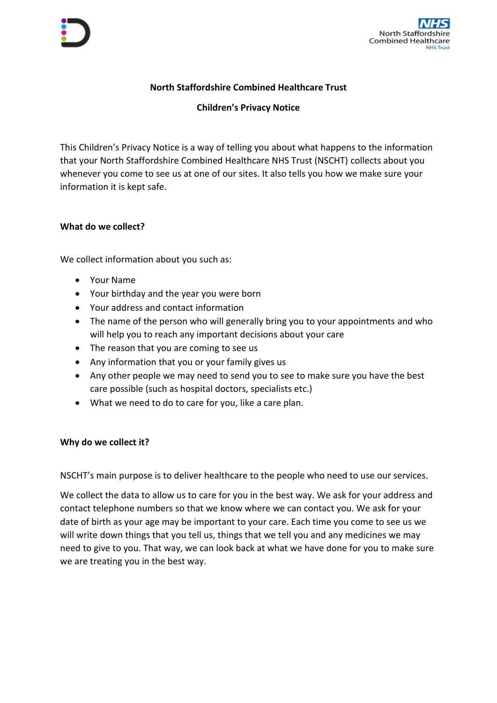

# **North Staffordshire Combined Healthcare Trust**

**Children's Privacy Notice**

This Children's Privacy Notice is a way of telling you about what happens to the information that your North Staffordshire Combined Healthcare NHS Trust (NSCHT) collects about you whenever you come to see us at one of our sites. It also tells you how we make sure your information it is kept safe.

## **What do we collect?**

We collect information about you such as:

- Your Name
- Your birthday and the year you were born
- Your address and contact information
- The name of the person who will generally bring you to your appointments and who will help you to reach any important decisions about your care
- The reason that you are coming to see us
- Any information that you or your family gives us
- Any other people we may need to send you to see to make sure you have the best care possible (such as hospital doctors, specialists etc.)
- What we need to do to care for you, like a care plan.

### **Why do we collect it?**

NSCHT's main purpose is to deliver healthcare to the people who need to use our services.

We collect the data to allow us to care for you in the best way. We ask for your address and contact telephone numbers so that we know where we can contact you. We ask for your date of birth as your age may be important to your care. Each time you come to see us we will write down things that you tell us, things that we tell you and any medicines we may need to give to you. That way, we can look back at what we have done for you to make sure we are treating you in the best way.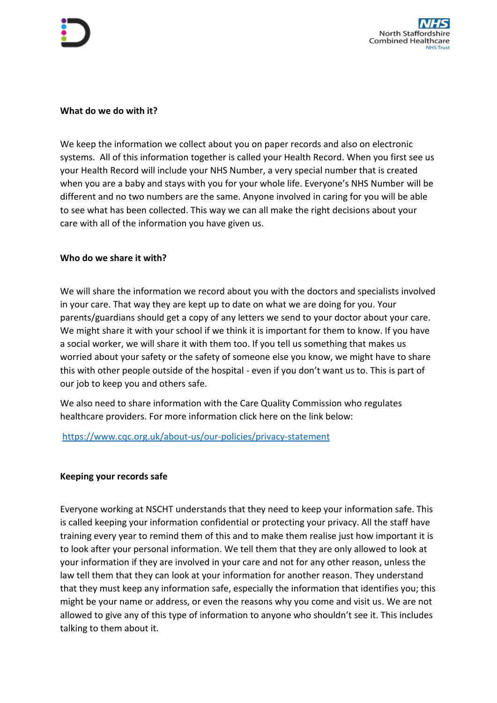### **What do we do with it?**

We keep the information we collect about you on paper records and also on electronic systems. All of this information together is called your Health Record. When you first see us your Health Record will include your NHS Number, a very special number that is created when you are a baby and stays with you for your whole life. Everyone's NHS Number will be different and no two numbers are the same. Anyone involved in caring for you will be able to see what has been collected. This way we can all make the right decisions about your care with all of the information you have given us.

## **Who do we share it with?**

We will share the information we record about you with the doctors and specialists involved in your care. That way they are kept up to date on what we are doing for you. Your parents/guardians should get a copy of any letters we send to your doctor about your care. We might share it with your school if we think it is important for them to know. If you have a social worker, we will share it with them too. If you tell us something that makes us worried about your safety or the safety of someone else you know, we might have to share this with other people outside of the hospital - even if you don't want us to. This is part of our job to keep you and others safe.

We also need to share information with the Care Quality Commission who regulates healthcare providers. For more information click here on the link below:

<https://www.cqc.org.uk/about-us/our-policies/privacy-statement>

# **Keeping your records safe**

Everyone working at NSCHT understands that they need to keep your information safe. This is called keeping your information confidential or protecting your privacy. All the staff have training every year to remind them of this and to make them realise just how important it is to look after your personal information. We tell them that they are only allowed to look at your information if they are involved in your care and not for any other reason, unless the law tell them that they can look at your information for another reason. They understand that they must keep any information safe, especially the information that identifies you; this might be your name or address, or even the reasons why you come and visit us. We are not allowed to give any of this type of information to anyone who shouldn't see it. This includes talking to them about it.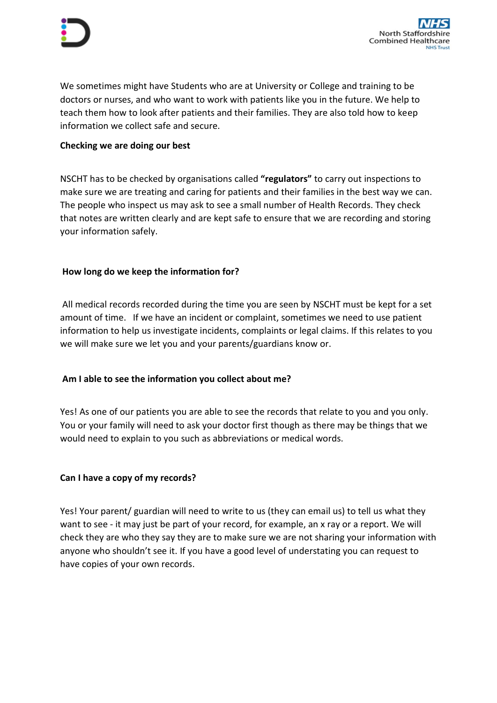We sometimes might have Students who are at University or College and training to be doctors or nurses, and who want to work with patients like you in the future. We help to teach them how to look after patients and their families. They are also told how to keep information we collect safe and secure.

## **Checking we are doing our best**

NSCHT has to be checked by organisations called **"regulators"** to carry out inspections to make sure we are treating and caring for patients and their families in the best way we can. The people who inspect us may ask to see a small number of Health Records. They check that notes are written clearly and are kept safe to ensure that we are recording and storing your information safely.

## **How long do we keep the information for?**

All medical records recorded during the time you are seen by NSCHT must be kept for a set amount of time. If we have an incident or complaint, sometimes we need to use patient information to help us investigate incidents, complaints or legal claims. If this relates to you we will make sure we let you and your parents/guardians know or.

### **Am I able to see the information you collect about me?**

Yes! As one of our patients you are able to see the records that relate to you and you only. You or your family will need to ask your doctor first though as there may be things that we would need to explain to you such as abbreviations or medical words.

### **Can I have a copy of my records?**

Yes! Your parent/ guardian will need to write to us (they can email us) to tell us what they want to see - it may just be part of your record, for example, an x ray or a report. We will check they are who they say they are to make sure we are not sharing your information with anyone who shouldn't see it. If you have a good level of understating you can request to have copies of your own records.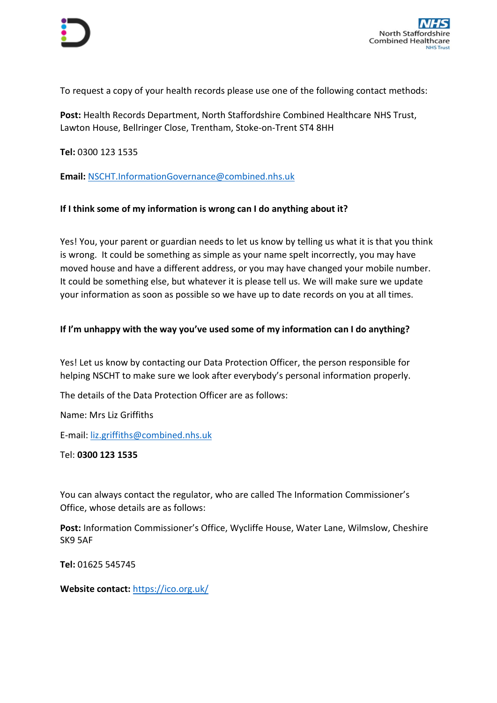To request a copy of your health records please use one of the following contact methods:

**Post:** Health Records Department, North Staffordshire Combined Healthcare NHS Trust, Lawton House, Bellringer Close, Trentham, Stoke-on-Trent ST4 8HH

**Tel:** 0300 123 1535

**Email:** [NSCHT.InformationGovernance@combined.nhs.uk](mailto:NSCHT.InformationGovernance@combined.nhs.uk)

## **If I think some of my information is wrong can I do anything about it?**

Yes! You, your parent or guardian needs to let us know by telling us what it is that you think is wrong. It could be something as simple as your name spelt incorrectly, you may have moved house and have a different address, or you may have changed your mobile number. It could be something else, but whatever it is please tell us. We will make sure we update your information as soon as possible so we have up to date records on you at all times.

## **If I'm unhappy with the way you've used some of my information can I do anything?**

Yes! Let us know by contacting our Data Protection Officer, the person responsible for helping NSCHT to make sure we look after everybody's personal information properly.

The details of the Data Protection Officer are as follows:

Name: Mrs Liz Griffiths

E-mail: [liz.griffiths@combined.nhs.uk](mailto:liz.griffiths@combined.nhs.uk)

Tel: **0300 123 1535**

You can always contact the regulator, who are called The Information Commissioner's Office, whose details are as follows:

**Post:** Information Commissioner's Office, Wycliffe House, Water Lane, Wilmslow, Cheshire SK9 5AF

**Tel:** 01625 545745

**Website contact:** <https://ico.org.uk/>